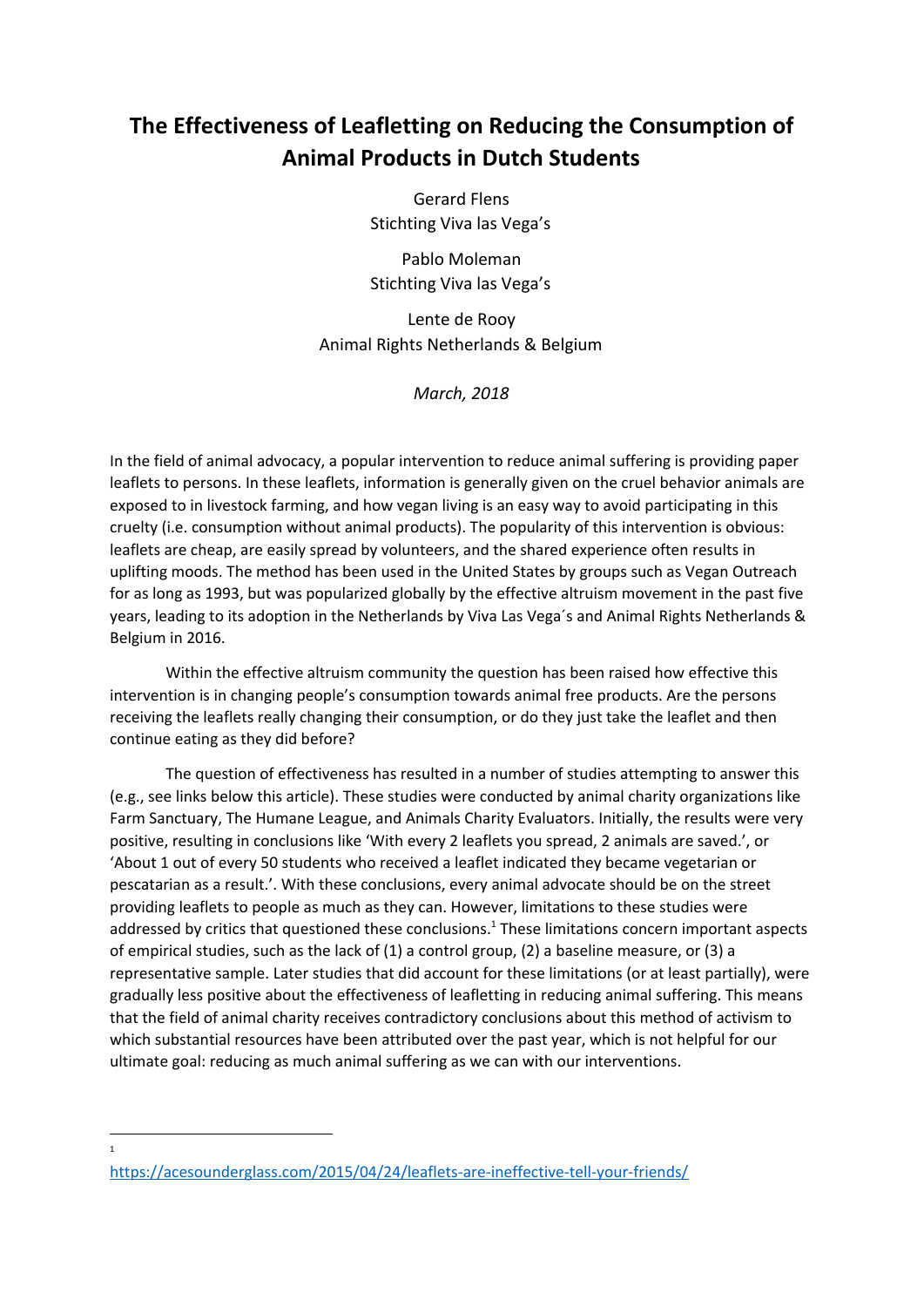# **The Effectiveness of Leafletting on Reducing the Consumption of Animal Products in Dutch Students**

Gerard Flens Stichting Viva las Vega's

Pablo Moleman Stichting Viva las Vega's

Lente de Rooy Animal Rights Netherlands & Belgium

*March, 2018*

In the field of animal advocacy, a popular intervention to reduce animal suffering is providing paper leaflets to persons. In these leaflets, information is generally given on the cruel behavior animals are exposed to in livestock farming, and how vegan living is an easy way to avoid participating in this cruelty (i.e. consumption without animal products). The popularity of this intervention is obvious: leaflets are cheap, are easily spread by volunteers, and the shared experience often results in uplifting moods. The method has been used in the United States by groups such as Vegan Outreach for as long as 1993, but was popularized globally by the effective altruism movement in the past five years, leading to its adoption in the Netherlands by Viva Las Vega´s and Animal Rights Netherlands & Belgium in 2016.

Within the effective altruism community the question has been raised how effective this intervention is in changing people's consumption towards animal free products. Are the persons receiving the leaflets really changing their consumption, or do they just take the leaflet and then continue eating as they did before?

The question of effectiveness has resulted in a number of studies attempting to answer this (e.g., see links below this article). These studies were conducted by animal charity organizations like Farm Sanctuary, The Humane League, and Animals Charity Evaluators. Initially, the results were very positive, resulting in conclusions like 'With every 2 leaflets you spread, 2 animals are saved.', or 'About 1 out of every 50 students who received a leaflet indicated they became vegetarian or pescatarian as a result.'. With these conclusions, every animal advocate should be on the street providing leaflets to people as much as they can. However, limitations to these studies were addressed by critics that questioned these conclusions.<sup>1</sup> These limitations concern important aspects of empirical studies, such as the lack of (1) a control group, (2) a baseline measure, or (3) a representative sample. Later studies that did account for these limitations (or at least partially), were gradually less positive about the effectiveness of leafletting in reducing animal suffering. This means that the field of animal charity receives contradictory conclusions about this method of activism to which substantial resources have been attributed over the past year, which is not helpful for our ultimate goal: reducing as much animal suffering as we can with our interventions.

1

<https://acesounderglass.com/2015/04/24/leaflets-are-ineffective-tell-your-friends/>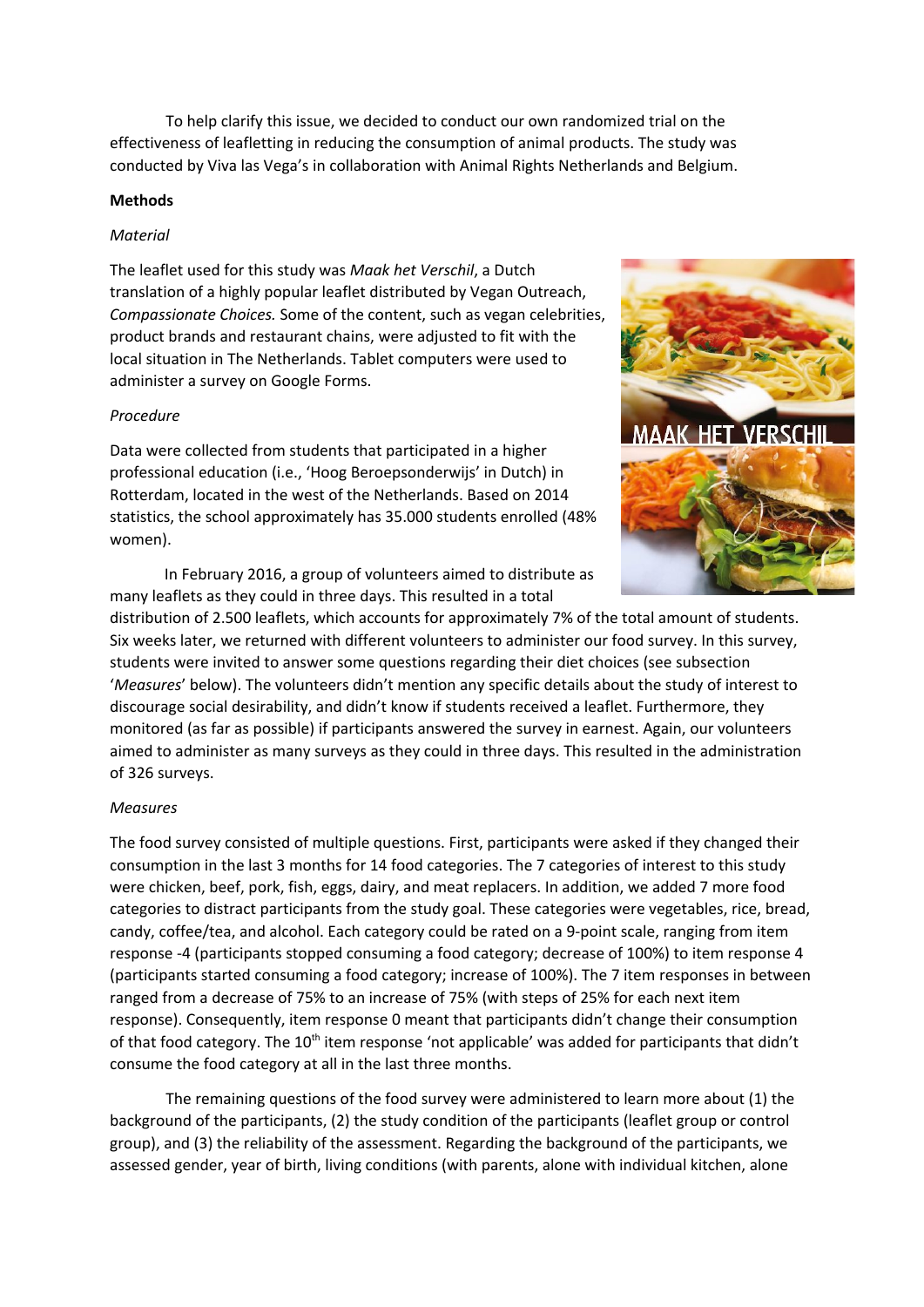To help clarify this issue, we decided to conduct our own randomized trial on the effectiveness of leafletting in reducing the consumption of animal products. The study was conducted by Viva las Vega's in collaboration with Animal Rights Netherlands and Belgium.

## **Methods**

# *Material*

The leaflet used for this study was *Maak het Verschil*, a Dutch translation of a highly popular leaflet distributed by Vegan Outreach, *Compassionate Choices.* Some of the content, such as vegan celebrities, product brands and restaurant chains, were adjusted to fit with the local situation in The Netherlands. Tablet computers were used to administer a survey on Google Forms.

## *Procedure*

Data were collected from students that participated in a higher professional education (i.e., 'Hoog Beroepsonderwijs' in Dutch) in Rotterdam, located in the west of the Netherlands. Based on 2014 statistics, the school approximately has 35.000 students enrolled (48% women).

In February 2016, a group of volunteers aimed to distribute as many leaflets as they could in three days. This resulted in a total



distribution of 2.500 leaflets, which accounts for approximately 7% of the total amount of students. Six weeks later, we returned with different volunteers to administer our food survey. In this survey, students were invited to answer some questions regarding their diet choices (see subsection '*Measures*' below). The volunteers didn't mention any specific details about the study of interest to discourage social desirability, and didn't know if students received a leaflet. Furthermore, they monitored (as far as possible) if participants answered the survey in earnest. Again, our volunteers aimed to administer as many surveys as they could in three days. This resulted in the administration of 326 surveys.

## *Measures*

The food survey consisted of multiple questions. First, participants were asked if they changed their consumption in the last 3 months for 14 food categories. The 7 categories of interest to this study were chicken, beef, pork, fish, eggs, dairy, and meat replacers. In addition, we added 7 more food categories to distract participants from the study goal. These categories were vegetables, rice, bread, candy, coffee/tea, and alcohol. Each category could be rated on a 9-point scale, ranging from item response -4 (participants stopped consuming a food category; decrease of 100%) to item response 4 (participants started consuming a food category; increase of 100%). The 7 item responses in between ranged from a decrease of 75% to an increase of 75% (with steps of 25% for each next item response). Consequently, item response 0 meant that participants didn't change their consumption of that food category. The 10<sup>th</sup> item response 'not applicable' was added for participants that didn't consume the food category at all in the last three months.

The remaining questions of the food survey were administered to learn more about (1) the background of the participants, (2) the study condition of the participants (leaflet group or control group), and (3) the reliability of the assessment. Regarding the background of the participants, we assessed gender, year of birth, living conditions (with parents, alone with individual kitchen, alone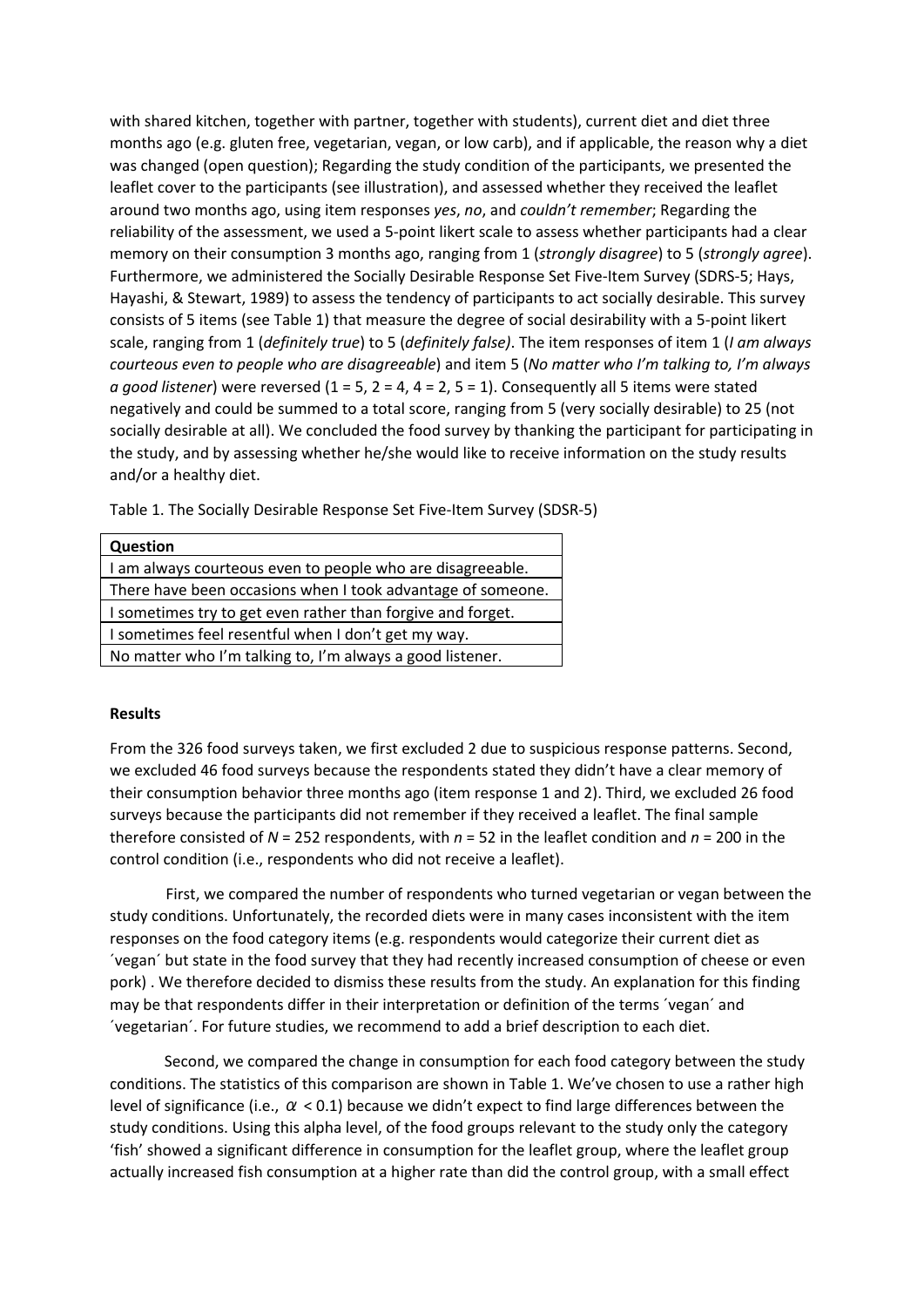with shared kitchen, together with partner, together with students), current diet and diet three months ago (e.g. gluten free, vegetarian, vegan, or low carb), and if applicable, the reason why a diet was changed (open question); Regarding the study condition of the participants, we presented the leaflet cover to the participants (see illustration), and assessed whether they received the leaflet around two months ago, using item responses *yes*, *no*, and *couldn't remember*; Regarding the reliability of the assessment, we used a 5-point likert scale to assess whether participants had a clear memory on their consumption 3 months ago, ranging from 1 (*strongly disagree*) to 5 (*strongly agree*). Furthermore, we administered the Socially Desirable Response Set Five-Item Survey (SDRS-5; Hays, Hayashi, & Stewart, 1989) to assess the tendency of participants to act socially desirable. This survey consists of 5 items (see Table 1) that measure the degree of social desirability with a 5-point likert scale, ranging from 1 (*definitely true*) to 5 (*definitely false)*. The item responses of item 1 (*I am always courteous even to people who are disagreeable*) and item 5 (*No matter who I'm talking to, I'm always a* good *listener*) were reversed  $(1 = 5, 2 = 4, 4 = 2, 5 = 1)$ . Consequently all 5 items were stated negatively and could be summed to a total score, ranging from 5 (very socially desirable) to 25 (not socially desirable at all). We concluded the food survey by thanking the participant for participating in the study, and by assessing whether he/she would like to receive information on the study results and/or a healthy diet.

Table 1. The Socially Desirable Response Set Five-Item Survey (SDSR-5)

| <b>Question</b>                                             |  |  |  |  |  |
|-------------------------------------------------------------|--|--|--|--|--|
| I am always courteous even to people who are disagreeable.  |  |  |  |  |  |
| There have been occasions when I took advantage of someone. |  |  |  |  |  |
| I sometimes try to get even rather than forgive and forget. |  |  |  |  |  |
| I sometimes feel resentful when I don't get my way.         |  |  |  |  |  |
| No matter who I'm talking to, I'm always a good listener.   |  |  |  |  |  |

# **Results**

From the 326 food surveys taken, we first excluded 2 due to suspicious response patterns. Second, we excluded 46 food surveys because the respondents stated they didn't have a clear memory of their consumption behavior three months ago (item response 1 and 2). Third, we excluded 26 food surveys because the participants did not remember if they received a leaflet. The final sample therefore consisted of *N* = 252 respondents, with *n* = 52 in the leaflet condition and *n* = 200 in the control condition (i.e., respondents who did not receive a leaflet).

First, we compared the number of respondents who turned vegetarian or vegan between the study conditions. Unfortunately, the recorded diets were in many cases inconsistent with the item responses on the food category items (e.g. respondents would categorize their current diet as ´vegan´ but state in the food survey that they had recently increased consumption of cheese or even pork) . We therefore decided to dismiss these results from the study. An explanation for this finding may be that respondents differ in their interpretation or definition of the terms ´vegan´ and ´vegetarian´. For future studies, we recommend to add a brief description to each diet.

Second, we compared the change in consumption for each food category between the study conditions. The statistics of this comparison are shown in Table 1. We've chosen to use a rather high level of significance (i.e.,  $\alpha$  < 0.1) because we didn't expect to find large differences between the study conditions. Using this alpha level, of the food groups relevant to the study only the category 'fish' showed a significant difference in consumption for the leaflet group, where the leaflet group actually increased fish consumption at a higher rate than did the control group, with a small effect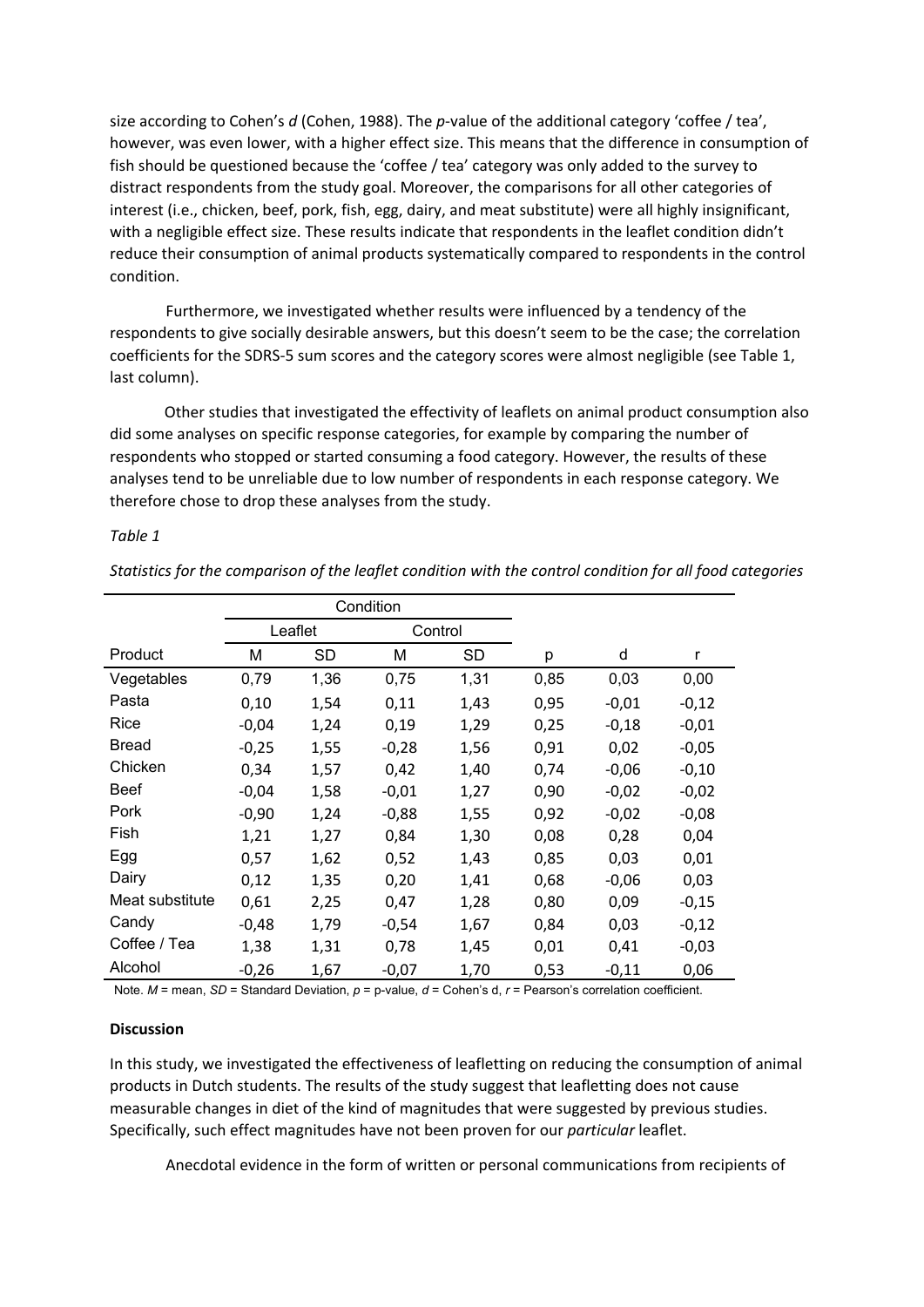size according to Cohen's *d* (Cohen, 1988). The *p*-value of the additional category 'coffee / tea', however, was even lower, with a higher effect size. This means that the difference in consumption of fish should be questioned because the 'coffee / tea' category was only added to the survey to distract respondents from the study goal. Moreover, the comparisons for all other categories of interest (i.e., chicken, beef, pork, fish, egg, dairy, and meat substitute) were all highly insignificant, with a negligible effect size. These results indicate that respondents in the leaflet condition didn't reduce their consumption of animal products systematically compared to respondents in the control condition.

Furthermore, we investigated whether results were influenced by a tendency of the respondents to give socially desirable answers, but this doesn't seem to be the case; the correlation coefficients for the SDRS-5 sum scores and the category scores were almost negligible (see Table 1, last column).

Other studies that investigated the effectivity of leaflets on animal product consumption also did some analyses on specific response categories, for example by comparing the number of respondents who stopped or started consuming a food category. However, the results of these analyses tend to be unreliable due to low number of respondents in each response category. We therefore chose to drop these analyses from the study.

# *Table 1*

*Statistics for the comparison of the leaflet condition with the control condition for all food categories*

|                 | Condition |           |         |           |      |         |         |
|-----------------|-----------|-----------|---------|-----------|------|---------|---------|
|                 | Leaflet   |           | Control |           |      |         |         |
| Product         | M         | <b>SD</b> | M       | <b>SD</b> | p    | d       | r       |
| Vegetables      | 0,79      | 1,36      | 0,75    | 1,31      | 0,85 | 0,03    | 0,00    |
| Pasta           | 0,10      | 1,54      | 0,11    | 1,43      | 0,95 | $-0,01$ | $-0,12$ |
| Rice            | $-0,04$   | 1,24      | 0,19    | 1,29      | 0,25 | $-0,18$ | $-0,01$ |
| <b>Bread</b>    | $-0,25$   | 1,55      | $-0,28$ | 1,56      | 0,91 | 0,02    | $-0,05$ |
| Chicken         | 0,34      | 1,57      | 0,42    | 1,40      | 0,74 | $-0,06$ | $-0,10$ |
| <b>Beef</b>     | $-0,04$   | 1,58      | $-0,01$ | 1,27      | 0,90 | $-0,02$ | $-0,02$ |
| Pork            | $-0,90$   | 1,24      | $-0,88$ | 1,55      | 0,92 | $-0,02$ | $-0,08$ |
| Fish            | 1,21      | 1,27      | 0,84    | 1,30      | 0,08 | 0,28    | 0,04    |
| Egg             | 0,57      | 1,62      | 0,52    | 1,43      | 0,85 | 0,03    | 0,01    |
| Dairy           | 0,12      | 1,35      | 0,20    | 1,41      | 0,68 | $-0,06$ | 0,03    |
| Meat substitute | 0,61      | 2,25      | 0,47    | 1,28      | 0,80 | 0,09    | $-0,15$ |
| Candy           | $-0,48$   | 1,79      | $-0,54$ | 1,67      | 0,84 | 0,03    | $-0,12$ |
| Coffee / Tea    | 1,38      | 1,31      | 0,78    | 1,45      | 0,01 | 0,41    | $-0,03$ |
| Alcohol         | $-0,26$   | 1,67      | $-0,07$ | 1,70      | 0,53 | $-0,11$ | 0,06    |

Note. *M* = mean, *SD* = Standard Deviation, *p* = p-value, *d* = Cohen's d, *r* = Pearson's correlation coefficient.

## **Discussion**

In this study, we investigated the effectiveness of leafletting on reducing the consumption of animal products in Dutch students. The results of the study suggest that leafletting does not cause measurable changes in diet of the kind of magnitudes that were suggested by previous studies. Specifically, such effect magnitudes have not been proven for our *particular* leaflet.

Anecdotal evidence in the form of written or personal communications from recipients of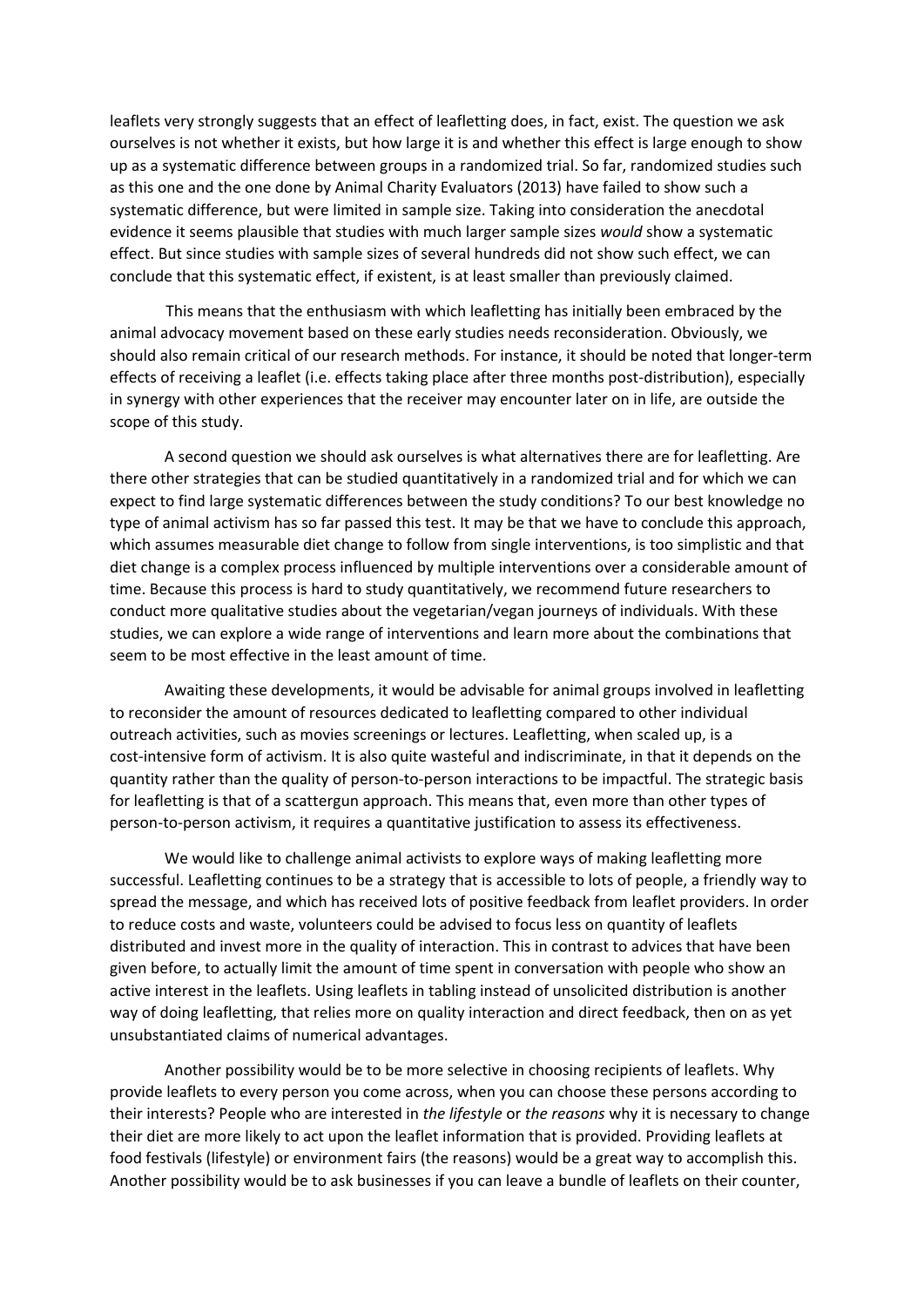leaflets very strongly suggests that an effect of leafletting does, in fact, exist. The question we ask ourselves is not whether it exists, but how large it is and whether this effect is large enough to show up as a systematic difference between groups in a randomized trial. So far, randomized studies such as this one and the one done by Animal Charity Evaluators (2013) have failed to show such a systematic difference, but were limited in sample size. Taking into consideration the anecdotal evidence it seems plausible that studies with much larger sample sizes *would* show a systematic effect. But since studies with sample sizes of several hundreds did not show such effect, we can conclude that this systematic effect, if existent, is at least smaller than previously claimed.

This means that the enthusiasm with which leafletting has initially been embraced by the animal advocacy movement based on these early studies needs reconsideration. Obviously, we should also remain critical of our research methods. For instance, it should be noted that longer-term effects of receiving a leaflet (i.e. effects taking place after three months post-distribution), especially in synergy with other experiences that the receiver may encounter later on in life, are outside the scope of this study.

A second question we should ask ourselves is what alternatives there are for leafletting. Are there other strategies that can be studied quantitatively in a randomized trial and for which we can expect to find large systematic differences between the study conditions? To our best knowledge no type of animal activism has so far passed this test. It may be that we have to conclude this approach, which assumes measurable diet change to follow from single interventions, is too simplistic and that diet change is a complex process influenced by multiple interventions over a considerable amount of time. Because this process is hard to study quantitatively, we recommend future researchers to conduct more qualitative studies about the vegetarian/vegan journeys of individuals. With these studies, we can explore a wide range of interventions and learn more about the combinations that seem to be most effective in the least amount of time.

Awaiting these developments, it would be advisable for animal groups involved in leafletting to reconsider the amount of resources dedicated to leafletting compared to other individual outreach activities, such as movies screenings or lectures. Leafletting, when scaled up, is a cost-intensive form of activism. It is also quite wasteful and indiscriminate, in that it depends on the quantity rather than the quality of person-to-person interactions to be impactful. The strategic basis for leafletting is that of a scattergun approach. This means that, even more than other types of person-to-person activism, it requires a quantitative justification to assess its effectiveness.

We would like to challenge animal activists to explore ways of making leafletting more successful. Leafletting continues to be a strategy that is accessible to lots of people, a friendly way to spread the message, and which has received lots of positive feedback from leaflet providers. In order to reduce costs and waste, volunteers could be advised to focus less on quantity of leaflets distributed and invest more in the quality of interaction. This in contrast to advices that have been given before, to actually limit the amount of time spent in conversation with people who show an active interest in the leaflets. Using leaflets in tabling instead of unsolicited distribution is another way of doing leafletting, that relies more on quality interaction and direct feedback, then on as yet unsubstantiated claims of numerical advantages.

Another possibility would be to be more selective in choosing recipients of leaflets. Why provide leaflets to every person you come across, when you can choose these persons according to their interests? People who are interested in *the lifestyle* or *the reasons* why it is necessary to change their diet are more likely to act upon the leaflet information that is provided. Providing leaflets at food festivals (lifestyle) or environment fairs (the reasons) would be a great way to accomplish this. Another possibility would be to ask businesses if you can leave a bundle of leaflets on their counter,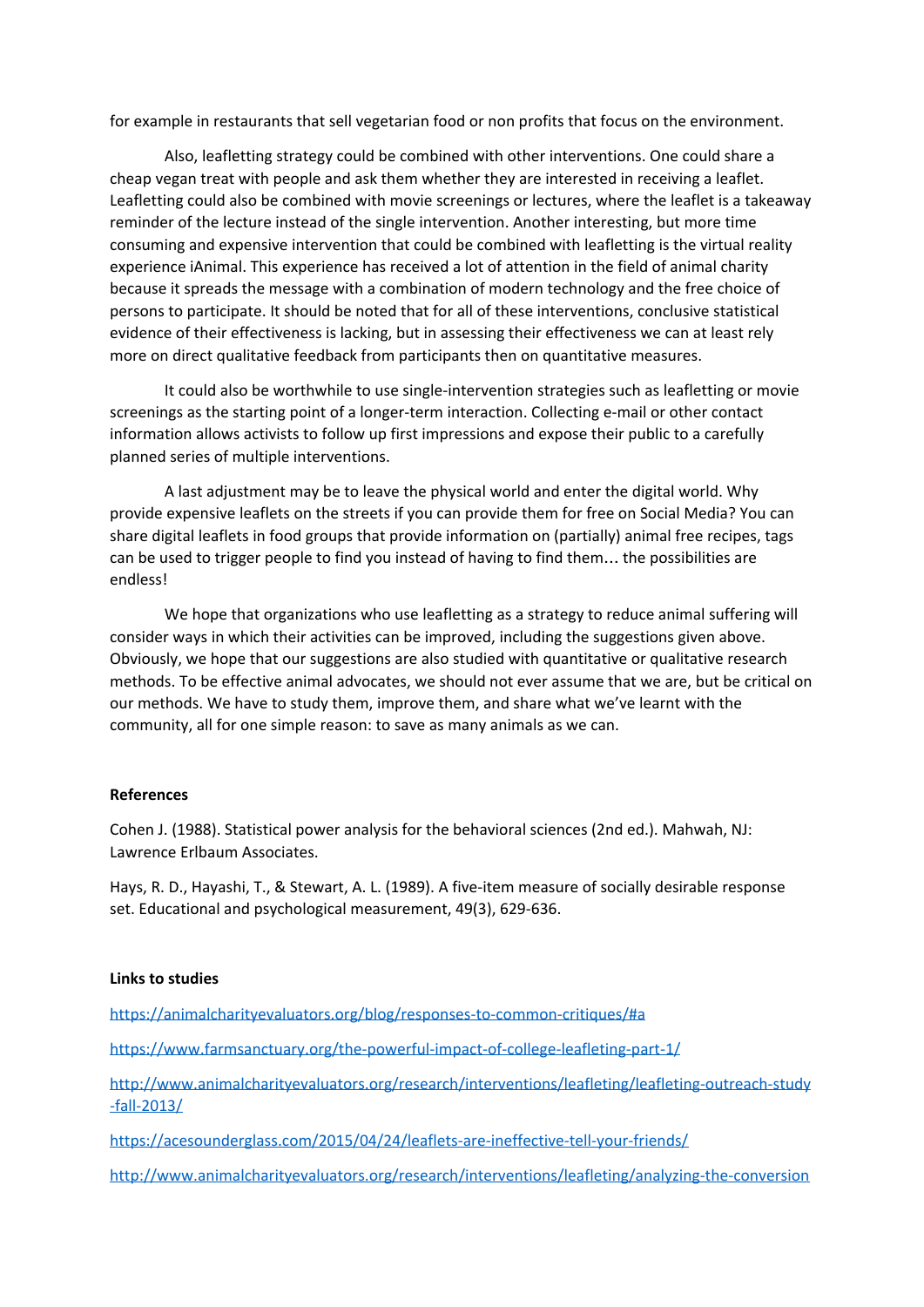for example in restaurants that sell vegetarian food or non profits that focus on the environment.

Also, leafletting strategy could be combined with other interventions. One could share a cheap vegan treat with people and ask them whether they are interested in receiving a leaflet. Leafletting could also be combined with movie screenings or lectures, where the leaflet is a takeaway reminder of the lecture instead of the single intervention. Another interesting, but more time consuming and expensive intervention that could be combined with leafletting is the virtual reality experience iAnimal. This experience has received a lot of attention in the field of animal charity because it spreads the message with a combination of modern technology and the free choice of persons to participate. It should be noted that for all of these interventions, conclusive statistical evidence of their effectiveness is lacking, but in assessing their effectiveness we can at least rely more on direct qualitative feedback from participants then on quantitative measures.

It could also be worthwhile to use single-intervention strategies such as leafletting or movie screenings as the starting point of a longer-term interaction. Collecting e-mail or other contact information allows activists to follow up first impressions and expose their public to a carefully planned series of multiple interventions.

A last adjustment may be to leave the physical world and enter the digital world. Why provide expensive leaflets on the streets if you can provide them for free on Social Media? You can share digital leaflets in food groups that provide information on (partially) animal free recipes, tags can be used to trigger people to find you instead of having to find them… the possibilities are endless!

We hope that organizations who use leafletting as a strategy to reduce animal suffering will consider ways in which their activities can be improved, including the suggestions given above. Obviously, we hope that our suggestions are also studied with quantitative or qualitative research methods. To be effective animal advocates, we should not ever assume that we are, but be critical on our methods. We have to study them, improve them, and share what we've learnt with the community, all for one simple reason: to save as many animals as we can.

## **References**

Cohen J. (1988). Statistical power analysis for the behavioral sciences (2nd ed.). Mahwah, NJ: Lawrence Erlbaum Associates.

Hays, R. D., Hayashi, T., & Stewart, A. L. (1989). A five-item measure of socially desirable response set. Educational and psychological measurement, 49(3), 629-636.

## **Links to studies**

<https://animalcharityevaluators.org/blog/responses-to-common-critiques/#a>

<https://www.farmsanctuary.org/the-powerful-impact-of-college-leafleting-part-1/>

[http://www.animalcharityevaluators.org/research/interventions/leafleting/leafleting-outreach-study](http://www.animalcharityevaluators.org/research/interventions/leafleting/leafleting-outreach-study-fall-2013/) [-fall-2013/](http://www.animalcharityevaluators.org/research/interventions/leafleting/leafleting-outreach-study-fall-2013/)

<https://acesounderglass.com/2015/04/24/leaflets-are-ineffective-tell-your-friends/>

[http://www.animalcharityevaluators.org/research/interventions/leafleting/analyzing-the-conversion](http://www.animalcharityevaluators.org/research/interventions/leafleting/analyzing-the-conversion-rate-of-leafleting/)